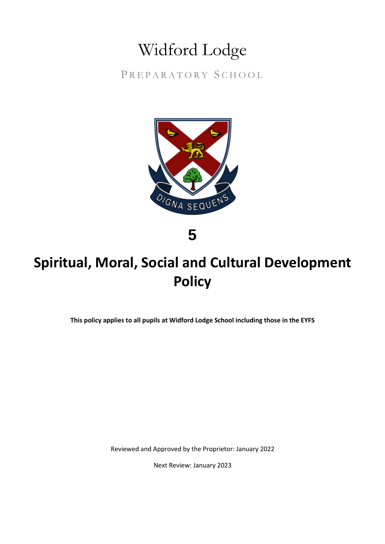# Widford Lodge

PREPARATORY SCHOOL



**5**

## **Spiritual, Moral, Social and Cultural Development Policy**

**This policy applies to all pupils at Widford Lodge School including those in the EYFS**

Reviewed and Approved by the Proprietor: January 2022

Next Review: January 2023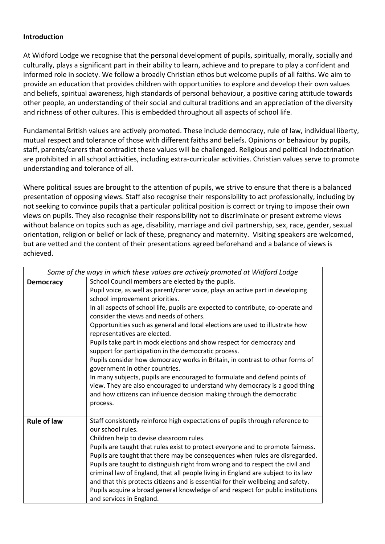#### **Introduction**

At Widford Lodge we recognise that the personal development of pupils, spiritually, morally, socially and culturally, plays a significant part in their ability to learn, achieve and to prepare to play a confident and informed role in society. We follow a broadly Christian ethos but welcome pupils of all faiths. We aim to provide an education that provides children with opportunities to explore and develop their own values and beliefs, spiritual awareness, high standards of personal behaviour, a positive caring attitude towards other people, an understanding of their social and cultural traditions and an appreciation of the diversity and richness of other cultures. This is embedded throughout all aspects of school life.

Fundamental British values are actively promoted. These include democracy, rule of law, individual liberty, mutual respect and tolerance of those with different faiths and beliefs. Opinions or behaviour by pupils, staff, parents/carers that contradict these values will be challenged. Religious and political indoctrination are prohibited in all school activities, including extra-curricular activities. Christian values serve to promote understanding and tolerance of all.

Where political issues are brought to the attention of pupils, we strive to ensure that there is a balanced presentation of opposing views. Staff also recognise their responsibility to act professionally, including by not seeking to convince pupils that a particular political position is correct or trying to impose their own views on pupils. They also recognise their responsibility not to discriminate or present extreme views without balance on topics such as age, disability, marriage and civil partnership, sex, race, gender, sexual orientation, religion or belief or lack of these, pregnancy and maternity. Visiting speakers are welcomed, but are vetted and the content of their presentations agreed beforehand and a balance of views is achieved.

| Some of the ways in which these values are actively promoted at Widford Lodge |                                                                                                                                                                                                                                                                                                                                                                                                                                                                                                                                                                                                                                                                                                                                                                                                                                                                                                                          |
|-------------------------------------------------------------------------------|--------------------------------------------------------------------------------------------------------------------------------------------------------------------------------------------------------------------------------------------------------------------------------------------------------------------------------------------------------------------------------------------------------------------------------------------------------------------------------------------------------------------------------------------------------------------------------------------------------------------------------------------------------------------------------------------------------------------------------------------------------------------------------------------------------------------------------------------------------------------------------------------------------------------------|
| <b>Democracy</b>                                                              | School Council members are elected by the pupils.<br>Pupil voice, as well as parent/carer voice, plays an active part in developing<br>school improvement priorities.<br>In all aspects of school life, pupils are expected to contribute, co-operate and<br>consider the views and needs of others.<br>Opportunities such as general and local elections are used to illustrate how<br>representatives are elected.<br>Pupils take part in mock elections and show respect for democracy and<br>support for participation in the democratic process.<br>Pupils consider how democracy works in Britain, in contrast to other forms of<br>government in other countries.<br>In many subjects, pupils are encouraged to formulate and defend points of<br>view. They are also encouraged to understand why democracy is a good thing<br>and how citizens can influence decision making through the democratic<br>process. |
| <b>Rule of law</b>                                                            | Staff consistently reinforce high expectations of pupils through reference to<br>our school rules.<br>Children help to devise classroom rules.<br>Pupils are taught that rules exist to protect everyone and to promote fairness.<br>Pupils are taught that there may be consequences when rules are disregarded.<br>Pupils are taught to distinguish right from wrong and to respect the civil and<br>criminal law of England, that all people living in England are subject to its law<br>and that this protects citizens and is essential for their wellbeing and safety.<br>Pupils acquire a broad general knowledge of and respect for public institutions<br>and services in England.                                                                                                                                                                                                                              |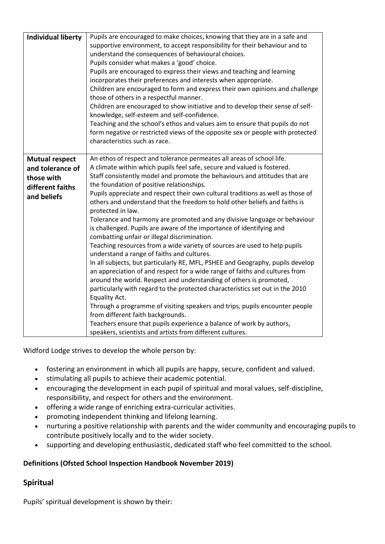| <b>Individual liberty</b>                                                                  | Pupils are encouraged to make choices, knowing that they are in a safe and<br>supportive environment, to accept responsibility for their behaviour and to<br>understand the consequences of behavioural choices.<br>Pupils consider what makes a 'good' choice.<br>Pupils are encouraged to express their views and teaching and learning<br>incorporates their preferences and interests when appropriate.<br>Children are encouraged to form and express their own opinions and challenge<br>those of others in a respectful manner.<br>Children are encouraged to show initiative and to develop their sense of self-<br>knowledge, self-esteem and self-confidence.<br>Teaching and the school's ethos and values aim to ensure that pupils do not<br>form negative or restricted views of the opposite sex or people with protected<br>characteristics such as race.                                                                                                                                                                                                                                                                                                                                                                                                                                                                                                                           |
|--------------------------------------------------------------------------------------------|-----------------------------------------------------------------------------------------------------------------------------------------------------------------------------------------------------------------------------------------------------------------------------------------------------------------------------------------------------------------------------------------------------------------------------------------------------------------------------------------------------------------------------------------------------------------------------------------------------------------------------------------------------------------------------------------------------------------------------------------------------------------------------------------------------------------------------------------------------------------------------------------------------------------------------------------------------------------------------------------------------------------------------------------------------------------------------------------------------------------------------------------------------------------------------------------------------------------------------------------------------------------------------------------------------------------------------------------------------------------------------------------------------|
| <b>Mutual respect</b><br>and tolerance of<br>those with<br>different faiths<br>and beliefs | An ethos of respect and tolerance permeates all areas of school life.<br>A climate within which pupils feel safe, secure and valued is fostered.<br>Staff consistently model and promote the behaviours and attitudes that are<br>the foundation of positive relationships.<br>Pupils appreciate and respect their own cultural traditions as well as those of<br>others and understand that the freedom to hold other beliefs and faiths is<br>protected in law.<br>Tolerance and harmony are promoted and any divisive language or behaviour<br>is challenged. Pupils are aware of the importance of identifying and<br>combatting unfair or illegal discrimination.<br>Teaching resources from a wide variety of sources are used to help pupils<br>understand a range of faiths and cultures.<br>In all subjects, but particularly RE, MFL, PSHEE and Geography, pupils develop<br>an appreciation of and respect for a wide range of faiths and cultures from<br>around the world. Respect and understanding of others is promoted,<br>particularly with regard to the protected characteristics set out in the 2010<br>Equality Act.<br>Through a programme of visiting speakers and trips, pupils encounter people<br>from different faith backgrounds.<br>Teachers ensure that pupils experience a balance of work by authors,<br>speakers, scientists and artists from different cultures. |

Widford Lodge strives to develop the whole person by:

- fostering an environment in which all pupils are happy, secure, confident and valued.
- stimulating all pupils to achieve their academic potential.
- encouraging the development in each pupil of spiritual and moral values, self-discipline, responsibility, and respect for others and the environment.
- offering a wide range of enriching extra-curricular activities.
- promoting independent thinking and lifelong learning.
- nurturing a positive relationship with parents and the wider community and encouraging pupils to contribute positively locally and to the wider society.
- supporting and developing enthusiastic, dedicated staff who feel committed to the school.

## **Definitions (Ofsted School Inspection Handbook November 2019)**

## **Spiritual**

Pupils' spiritual development is shown by their: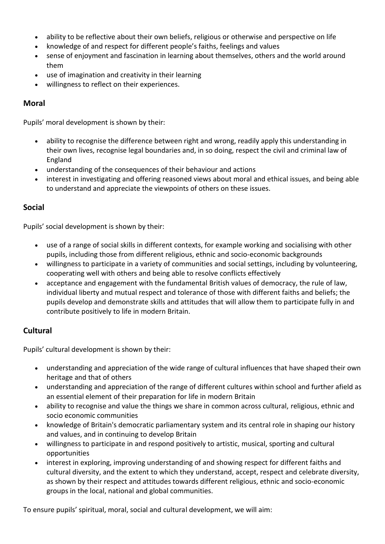- ability to be reflective about their own beliefs, religious or otherwise and perspective on life
- knowledge of and respect for different people's faiths, feelings and values
- sense of enjoyment and fascination in learning about themselves, others and the world around them
- use of imagination and creativity in their learning
- willingness to reflect on their experiences.

## **Moral**

Pupils' moral development is shown by their:

- ability to recognise the difference between right and wrong, readily apply this understanding in their own lives, recognise legal boundaries and, in so doing, respect the civil and criminal law of England
- understanding of the consequences of their behaviour and actions
- interest in investigating and offering reasoned views about moral and ethical issues, and being able to understand and appreciate the viewpoints of others on these issues.

## **Social**

Pupils' social development is shown by their:

- use of a range of social skills in different contexts, for example working and socialising with other pupils, including those from different religious, ethnic and socio-economic backgrounds
- willingness to participate in a variety of communities and social settings, including by volunteering, cooperating well with others and being able to resolve conflicts effectively
- acceptance and engagement with the fundamental British values of democracy, the rule of law, individual liberty and mutual respect and tolerance of those with different faiths and beliefs; the pupils develop and demonstrate skills and attitudes that will allow them to participate fully in and contribute positively to life in modern Britain.

## **Cultural**

Pupils' cultural development is shown by their:

- understanding and appreciation of the wide range of cultural influences that have shaped their own heritage and that of others
- understanding and appreciation of the range of different cultures within school and further afield as an essential element of their preparation for life in modern Britain
- ability to recognise and value the things we share in common across cultural, religious, ethnic and socio economic communities
- knowledge of Britain's democratic parliamentary system and its central role in shaping our history and values, and in continuing to develop Britain
- willingness to participate in and respond positively to artistic, musical, sporting and cultural opportunities
- interest in exploring, improving understanding of and showing respect for different faiths and cultural diversity, and the extent to which they understand, accept, respect and celebrate diversity, as shown by their respect and attitudes towards different religious, ethnic and socio-economic groups in the local, national and global communities.

To ensure pupils' spiritual, moral, social and cultural development, we will aim: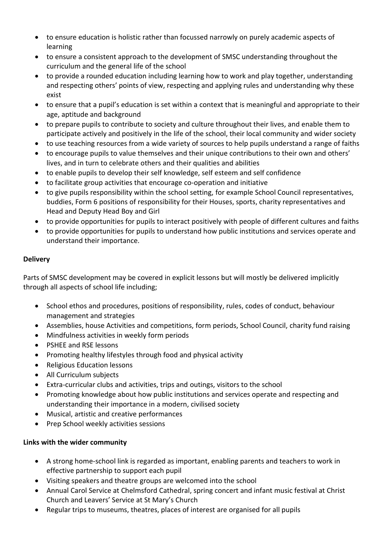- to ensure education is holistic rather than focussed narrowly on purely academic aspects of learning
- to ensure a consistent approach to the development of SMSC understanding throughout the curriculum and the general life of the school
- to provide a rounded education including learning how to work and play together, understanding and respecting others' points of view, respecting and applying rules and understanding why these exist
- to ensure that a pupil's education is set within a context that is meaningful and appropriate to their age, aptitude and background
- to prepare pupils to contribute to society and culture throughout their lives, and enable them to participate actively and positively in the life of the school, their local community and wider society
- to use teaching resources from a wide variety of sources to help pupils understand a range of faiths
- to encourage pupils to value themselves and their unique contributions to their own and others' lives, and in turn to celebrate others and their qualities and abilities
- to enable pupils to develop their self knowledge, self esteem and self confidence
- to facilitate group activities that encourage co-operation and initiative
- to give pupils responsibility within the school setting, for example School Council representatives, buddies, Form 6 positions of responsibility for their Houses, sports, charity representatives and Head and Deputy Head Boy and Girl
- to provide opportunities for pupils to interact positively with people of different cultures and faiths
- to provide opportunities for pupils to understand how public institutions and services operate and understand their importance.

#### **Delivery**

Parts of SMSC development may be covered in explicit lessons but will mostly be delivered implicitly through all aspects of school life including;

- School ethos and procedures, positions of responsibility, rules, codes of conduct, behaviour management and strategies
- Assemblies, house Activities and competitions, form periods, School Council, charity fund raising
- Mindfulness activities in weekly form periods
- PSHEE and RSE lessons
- Promoting healthy lifestyles through food and physical activity
- Religious Education lessons
- All Curriculum subjects
- Extra-curricular clubs and activities, trips and outings, visitors to the school
- Promoting knowledge about how public institutions and services operate and respecting and understanding their importance in a modern, civilised society
- Musical, artistic and creative performances
- Prep School weekly activities sessions

## **Links with the wider community**

- A strong home-school link is regarded as important, enabling parents and teachers to work in effective partnership to support each pupil
- Visiting speakers and theatre groups are welcomed into the school
- Annual Carol Service at Chelmsford Cathedral, spring concert and infant music festival at Christ Church and Leavers' Service at St Mary's Church
- Regular trips to museums, theatres, places of interest are organised for all pupils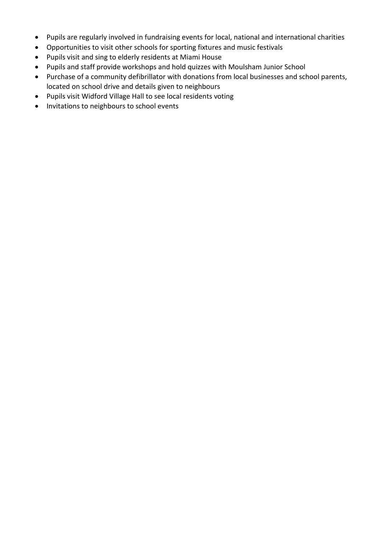- Pupils are regularly involved in fundraising events for local, national and international charities
- Opportunities to visit other schools for sporting fixtures and music festivals
- Pupils visit and sing to elderly residents at Miami House
- Pupils and staff provide workshops and hold quizzes with Moulsham Junior School
- Purchase of a community defibrillator with donations from local businesses and school parents, located on school drive and details given to neighbours
- Pupils visit Widford Village Hall to see local residents voting
- Invitations to neighbours to school events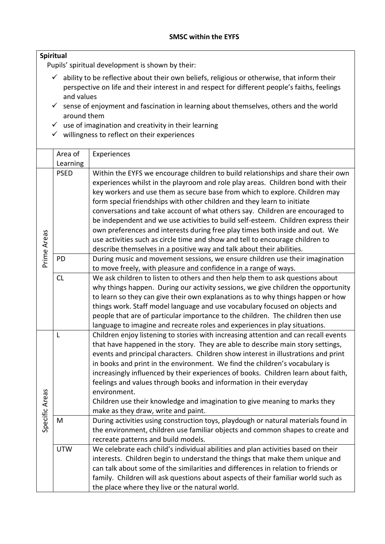#### **Spiritual**

Pupils' spiritual development is shown by their:

- $\checkmark$  ability to be reflective about their own beliefs, religious or otherwise, that inform their perspective on life and their interest in and respect for different people's faiths, feelings and values
- $\checkmark$  sense of enjoyment and fascination in learning about themselves, others and the world around them
- $\checkmark$  use of imagination and creativity in their learning
- $\checkmark$  willingness to reflect on their experiences

|                | Area of     | Experiences                                                                         |
|----------------|-------------|-------------------------------------------------------------------------------------|
|                | Learning    |                                                                                     |
|                | <b>PSED</b> | Within the EYFS we encourage children to build relationships and share their own    |
|                |             | experiences whilst in the playroom and role play areas. Children bond with their    |
|                |             | key workers and use them as secure base from which to explore. Children may         |
|                |             | form special friendships with other children and they learn to initiate             |
|                |             | conversations and take account of what others say. Children are encouraged to       |
|                |             | be independent and we use activities to build self-esteem. Children express their   |
|                |             | own preferences and interests during free play times both inside and out. We        |
|                |             | use activities such as circle time and show and tell to encourage children to       |
|                |             | describe themselves in a positive way and talk about their abilities.               |
| Prime Areas    | PD          | During music and movement sessions, we ensure children use their imagination        |
|                |             | to move freely, with pleasure and confidence in a range of ways.                    |
|                | CL          | We ask children to listen to others and then help them to ask questions about       |
|                |             | why things happen. During our activity sessions, we give children the opportunity   |
|                |             | to learn so they can give their own explanations as to why things happen or how     |
|                |             | things work. Staff model language and use vocabulary focused on objects and         |
|                |             | people that are of particular importance to the children. The children then use     |
|                |             | language to imagine and recreate roles and experiences in play situations.          |
|                | L           | Children enjoy listening to stories with increasing attention and can recall events |
|                |             | that have happened in the story. They are able to describe main story settings,     |
|                |             | events and principal characters. Children show interest in illustrations and print  |
|                |             | in books and print in the environment. We find the children's vocabulary is         |
|                |             | increasingly influenced by their experiences of books. Children learn about faith,  |
|                |             | feelings and values through books and information in their everyday                 |
|                |             | environment.                                                                        |
|                |             | Children use their knowledge and imagination to give meaning to marks they          |
| Specific Areas |             | make as they draw, write and paint.                                                 |
|                | M           | During activities using construction toys, playdough or natural materials found in  |
|                |             | the environment, children use familiar objects and common shapes to create and      |
|                |             | recreate patterns and build models.                                                 |
|                | <b>UTW</b>  | We celebrate each child's individual abilities and plan activities based on their   |
|                |             | interests. Children begin to understand the things that make them unique and        |
|                |             | can talk about some of the similarities and differences in relation to friends or   |
|                |             | family. Children will ask questions about aspects of their familiar world such as   |
|                |             | the place where they live or the natural world.                                     |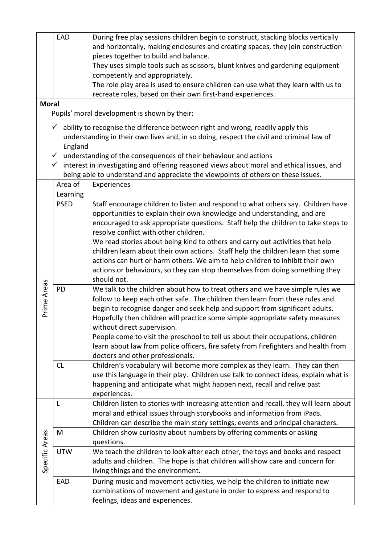|                | EAD                     | During free play sessions children begin to construct, stacking blocks vertically         |
|----------------|-------------------------|-------------------------------------------------------------------------------------------|
|                |                         | and horizontally, making enclosures and creating spaces, they join construction           |
|                |                         | pieces together to build and balance.                                                     |
|                |                         | They uses simple tools such as scissors, blunt knives and gardening equipment             |
|                |                         | competently and appropriately.                                                            |
|                |                         | The role play area is used to ensure children can use what they learn with us to          |
|                |                         | recreate roles, based on their own first-hand experiences.                                |
| <b>Moral</b>   |                         |                                                                                           |
|                |                         | Pupils' moral development is shown by their:                                              |
|                |                         |                                                                                           |
|                | $\checkmark$            | ability to recognise the difference between right and wrong, readily apply this           |
|                | England                 | understanding in their own lives and, in so doing, respect the civil and criminal law of  |
|                |                         | $\checkmark$ understanding of the consequences of their behaviour and actions             |
|                | $\checkmark$            | interest in investigating and offering reasoned views about moral and ethical issues, and |
|                |                         |                                                                                           |
|                | Area of                 | being able to understand and appreciate the viewpoints of others on these issues.         |
|                |                         | Experiences                                                                               |
|                | Learning<br><b>PSED</b> | Staff encourage children to listen and respond to what others say. Children have          |
|                |                         | opportunities to explain their own knowledge and understanding, and are                   |
|                |                         | encouraged to ask appropriate questions. Staff help the children to take steps to         |
|                |                         | resolve conflict with other children.                                                     |
|                |                         | We read stories about being kind to others and carry out activities that help             |
|                |                         | children learn about their own actions. Staff help the children learn that some           |
|                |                         | actions can hurt or harm others. We aim to help children to inhibit their own             |
|                |                         | actions or behaviours, so they can stop themselves from doing something they              |
|                |                         | should not.                                                                               |
| Prime Areas    | PD                      | We talk to the children about how to treat others and we have simple rules we             |
|                |                         | follow to keep each other safe. The children then learn from these rules and              |
|                |                         | begin to recognise danger and seek help and support from significant adults.              |
|                |                         | Hopefully then children will practice some simple appropriate safety measures             |
|                |                         | without direct supervision.                                                               |
|                |                         | People come to visit the preschool to tell us about their occupations, children           |
|                |                         | learn about law from police officers, fire safety from firefighters and health from       |
|                |                         | doctors and other professionals.                                                          |
|                | <b>CL</b>               | Children's vocabulary will become more complex as they learn. They can then               |
|                |                         | use this language in their play. Children use talk to connect ideas, explain what is      |
|                |                         | happening and anticipate what might happen next, recall and relive past                   |
|                |                         | experiences.                                                                              |
|                | L                       | Children listen to stories with increasing attention and recall, they will learn about    |
|                |                         | moral and ethical issues through storybooks and information from iPads.                   |
|                |                         | Children can describe the main story settings, events and principal characters.           |
|                | M                       | Children show curiosity about numbers by offering comments or asking                      |
|                |                         | questions.                                                                                |
|                | <b>UTW</b>              | We teach the children to look after each other, the toys and books and respect            |
|                |                         | adults and children. The hope is that children will show care and concern for             |
| Specific Areas |                         | living things and the environment.                                                        |
|                | EAD                     | During music and movement activities, we help the children to initiate new                |
|                |                         | combinations of movement and gesture in order to express and respond to                   |
|                |                         | feelings, ideas and experiences.                                                          |
|                |                         |                                                                                           |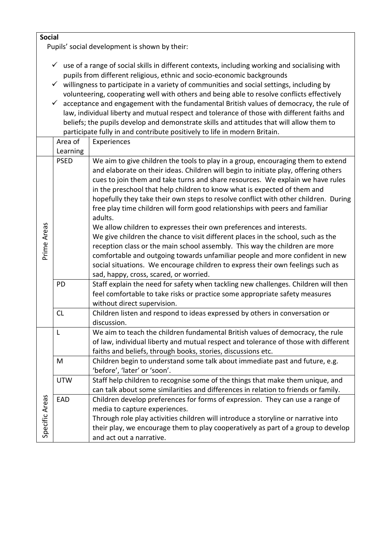**Social**

Pupils' social development is shown by their:

- $\checkmark$  use of a range of social skills in different contexts, including working and socialising with pupils from different religious, ethnic and socio-economic backgrounds
- $\checkmark$  willingness to participate in a variety of communities and social settings, including by volunteering, cooperating well with others and being able to resolve conflicts effectively
- $\checkmark$  acceptance and engagement with the fundamental British values of democracy, the rule of law, individual liberty and mutual respect and tolerance of those with different faiths and beliefs; the pupils develop and demonstrate skills and attitudes that will allow them to participate fully in and contribute positively to life in modern Britain.

|                | Area of     | Experiences                                                                                                                                                                                                                                                                                                                                                                                                                                                                                                                                                                                                                                                                                                                                                                                                                                                                                                                                                                   |
|----------------|-------------|-------------------------------------------------------------------------------------------------------------------------------------------------------------------------------------------------------------------------------------------------------------------------------------------------------------------------------------------------------------------------------------------------------------------------------------------------------------------------------------------------------------------------------------------------------------------------------------------------------------------------------------------------------------------------------------------------------------------------------------------------------------------------------------------------------------------------------------------------------------------------------------------------------------------------------------------------------------------------------|
|                | Learning    |                                                                                                                                                                                                                                                                                                                                                                                                                                                                                                                                                                                                                                                                                                                                                                                                                                                                                                                                                                               |
| Prime Areas    | <b>PSED</b> | We aim to give children the tools to play in a group, encouraging them to extend<br>and elaborate on their ideas. Children will begin to initiate play, offering others<br>cues to join them and take turns and share resources. We explain we have rules<br>in the preschool that help children to know what is expected of them and<br>hopefully they take their own steps to resolve conflict with other children. During<br>free play time children will form good relationships with peers and familiar<br>adults.<br>We allow children to expresses their own preferences and interests.<br>We give children the chance to visit different places in the school, such as the<br>reception class or the main school assembly. This way the children are more<br>comfortable and outgoing towards unfamiliar people and more confident in new<br>social situations. We encourage children to express their own feelings such as<br>sad, happy, cross, scared, or worried. |
|                | PD          | Staff explain the need for safety when tackling new challenges. Children will then<br>feel comfortable to take risks or practice some appropriate safety measures<br>without direct supervision.                                                                                                                                                                                                                                                                                                                                                                                                                                                                                                                                                                                                                                                                                                                                                                              |
|                | CL          | Children listen and respond to ideas expressed by others in conversation or<br>discussion.                                                                                                                                                                                                                                                                                                                                                                                                                                                                                                                                                                                                                                                                                                                                                                                                                                                                                    |
| Specific Areas | L           | We aim to teach the children fundamental British values of democracy, the rule<br>of law, individual liberty and mutual respect and tolerance of those with different<br>faiths and beliefs, through books, stories, discussions etc.                                                                                                                                                                                                                                                                                                                                                                                                                                                                                                                                                                                                                                                                                                                                         |
|                | M           | Children begin to understand some talk about immediate past and future, e.g.<br>'before', 'later' or 'soon'.                                                                                                                                                                                                                                                                                                                                                                                                                                                                                                                                                                                                                                                                                                                                                                                                                                                                  |
|                | <b>UTW</b>  | Staff help children to recognise some of the things that make them unique, and<br>can talk about some similarities and differences in relation to friends or family.                                                                                                                                                                                                                                                                                                                                                                                                                                                                                                                                                                                                                                                                                                                                                                                                          |
|                | EAD         | Children develop preferences for forms of expression. They can use a range of<br>media to capture experiences.<br>Through role play activities children will introduce a storyline or narrative into<br>their play, we encourage them to play cooperatively as part of a group to develop<br>and act out a narrative.                                                                                                                                                                                                                                                                                                                                                                                                                                                                                                                                                                                                                                                         |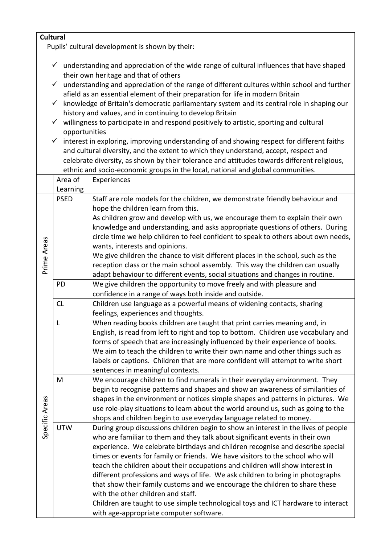|                | <b>Cultural</b><br>Pupils' cultural development is shown by their:                                       |                                                                                                                                                                               |  |
|----------------|----------------------------------------------------------------------------------------------------------|-------------------------------------------------------------------------------------------------------------------------------------------------------------------------------|--|
|                |                                                                                                          |                                                                                                                                                                               |  |
|                | understanding and appreciation of the wide range of cultural influences that have shaped<br>$\checkmark$ |                                                                                                                                                                               |  |
|                |                                                                                                          | their own heritage and that of others                                                                                                                                         |  |
|                | $\checkmark$                                                                                             | understanding and appreciation of the range of different cultures within school and further<br>afield as an essential element of their preparation for life in modern Britain |  |
|                | $\checkmark$                                                                                             | knowledge of Britain's democratic parliamentary system and its central role in shaping our                                                                                    |  |
|                |                                                                                                          | history and values, and in continuing to develop Britain                                                                                                                      |  |
|                | $\checkmark$<br>willingness to participate in and respond positively to artistic, sporting and cultural  |                                                                                                                                                                               |  |
|                | opportunities                                                                                            |                                                                                                                                                                               |  |
|                |                                                                                                          | $\checkmark$ interest in exploring, improving understanding of and showing respect for different faiths                                                                       |  |
|                | and cultural diversity, and the extent to which they understand, accept, respect and                     |                                                                                                                                                                               |  |
|                |                                                                                                          | celebrate diversity, as shown by their tolerance and attitudes towards different religious,                                                                                   |  |
|                |                                                                                                          | ethnic and socio-economic groups in the local, national and global communities.                                                                                               |  |
|                | Area of                                                                                                  | Experiences                                                                                                                                                                   |  |
|                | Learning                                                                                                 |                                                                                                                                                                               |  |
|                | <b>PSED</b>                                                                                              | Staff are role models for the children, we demonstrate friendly behaviour and                                                                                                 |  |
|                |                                                                                                          | hope the children learn from this.                                                                                                                                            |  |
|                |                                                                                                          | As children grow and develop with us, we encourage them to explain their own<br>knowledge and understanding, and asks appropriate questions of others. During                 |  |
|                |                                                                                                          | circle time we help children to feel confident to speak to others about own needs,                                                                                            |  |
|                |                                                                                                          | wants, interests and opinions.                                                                                                                                                |  |
| Prime Areas    |                                                                                                          | We give children the chance to visit different places in the school, such as the                                                                                              |  |
|                |                                                                                                          | reception class or the main school assembly. This way the children can usually                                                                                                |  |
|                |                                                                                                          | adapt behaviour to different events, social situations and changes in routine.                                                                                                |  |
|                | PD                                                                                                       | We give children the opportunity to move freely and with pleasure and                                                                                                         |  |
|                |                                                                                                          | confidence in a range of ways both inside and outside.                                                                                                                        |  |
|                | CL                                                                                                       | Children use language as a powerful means of widening contacts, sharing                                                                                                       |  |
|                |                                                                                                          | feelings, experiences and thoughts.                                                                                                                                           |  |
|                | L                                                                                                        | When reading books children are taught that print carries meaning and, in                                                                                                     |  |
|                |                                                                                                          | English, is read from left to right and top to bottom. Children use vocabulary and                                                                                            |  |
|                |                                                                                                          | forms of speech that are increasingly influenced by their experience of books.                                                                                                |  |
|                |                                                                                                          | We aim to teach the children to write their own name and other things such as                                                                                                 |  |
|                |                                                                                                          | labels or captions. Children that are more confident will attempt to write short<br>sentences in meaningful contexts.                                                         |  |
|                | M                                                                                                        | We encourage children to find numerals in their everyday environment. They                                                                                                    |  |
|                |                                                                                                          | begin to recognise patterns and shapes and show an awareness of similarities of                                                                                               |  |
|                |                                                                                                          | shapes in the environment or notices simple shapes and patterns in pictures. We                                                                                               |  |
|                |                                                                                                          | use role-play situations to learn about the world around us, such as going to the                                                                                             |  |
|                |                                                                                                          | shops and children begin to use everyday language related to money.                                                                                                           |  |
| Specific Areas | <b>UTW</b>                                                                                               | During group discussions children begin to show an interest in the lives of people                                                                                            |  |
|                |                                                                                                          | who are familiar to them and they talk about significant events in their own                                                                                                  |  |
|                |                                                                                                          | experience. We celebrate birthdays and children recognise and describe special                                                                                                |  |
|                |                                                                                                          | times or events for family or friends. We have visitors to the school who will                                                                                                |  |
|                |                                                                                                          | teach the children about their occupations and children will show interest in                                                                                                 |  |
|                |                                                                                                          | different professions and ways of life. We ask children to bring in photographs                                                                                               |  |
|                |                                                                                                          | that show their family customs and we encourage the children to share these<br>with the other children and staff.                                                             |  |
|                |                                                                                                          | Children are taught to use simple technological toys and ICT hardware to interact                                                                                             |  |
|                |                                                                                                          | with age-appropriate computer software.                                                                                                                                       |  |
|                |                                                                                                          |                                                                                                                                                                               |  |